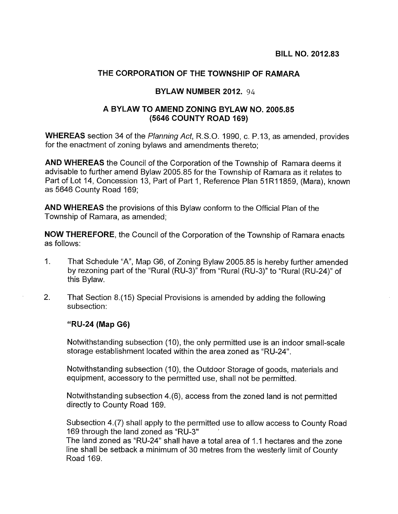## THE CORPORATION OF THE TOWNSHIP OF RAMARA

## BYLAW NUMBER 2012. 94

## A BYLAW TO AMEND ZONING BYLAW NO. 2005.85 (5646 COUNTY ROAD 169)

WHEREAS section 34 of the Planning Act, R.S.O. 1990, c. P.13, as amended, provides for the enactment of zoning bylaws and amendments thereto;

AND WHEREAS the Council of the Corporation of the Township of Ramara deems it advisable to further amend Bylaw 2005.85 for the Township of Ramara as it relates to Part of Lot 14, Concession 13, Part of Part 1, Reference Plan 51R11859, (Mara), known as 5646 County Road 169;

AND WHEREAS the provisions of this Bylaw conform to the Official Plan of the Township of Ramara, as amended;

NOW THEREFORE, the Council of the Corporation of the Township of Ramara enacts as follows:

- 1. That Schedule "A", Map G6, of Zoning Bylaw 2005.85 is hereby further amended by rezoning part of the "Rural (RU-3)" from "Rural (RU-3)" to "Rural (RU-24)" of this Bylaw.
- 2. That Section 8.(15) Special Provisions is amended by adding the following subsection:

## "RU-24 (Map G6)

Notwithstanding subsection (10), the only permitted use is an indoor small-scale storage establishment located within the area zoned as "RU-24".

Notwithstanding subsection (10), the Outdoor Storage of goods, materials and equipment, accessory to the permitted use, shall not be permitted.

Notwithstanding subsection 4.(6), access from the zoned land is not permitted directly to County Road 169.

Subsection 4.(7) shall apply to the permitted use to allow access to County Road 169 through the land zoned as "RU-3"

The land zoned as "RU-24" shall have a total area of 1.1 hectares and the zone line shall be setback a minimum of 30 metres from the westerly limit of County Road 169.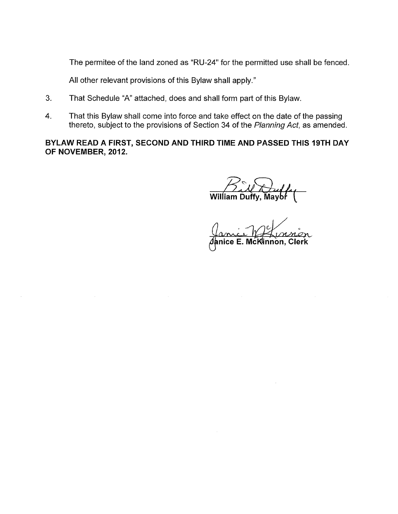The permitee of the land zoned as "RU-24" for the permitted use shall be fenced.

All other relevant provisions of this Bylaw shall apply."

- 3. That Schedule "A" attached, does and shall form part of this Bylaw.
- 4. That this Bylaw shall come into force and take effect on the date of the passing thereto, subject to the provisions of Section 34 of the Planning Act, as amended.

BYLAW READ A FIRST, SECOND AND THIRD TIME AND PASSED THIS 19TH DAY OF NOVEMBER, 2012.

William Duffy, Maybŕ (

/') anic Marian<br>Janice E. McKlinnon, Clerk